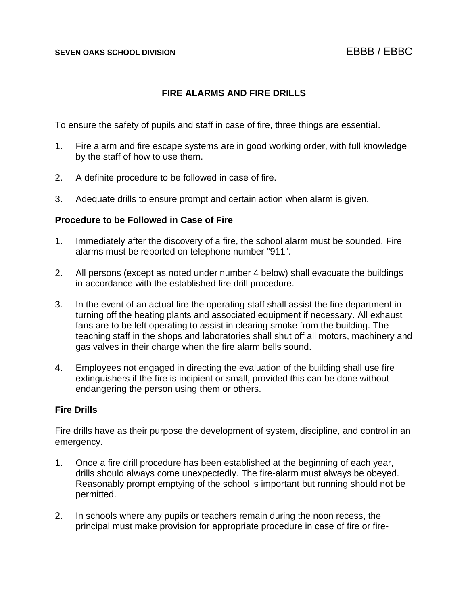# **FIRE ALARMS AND FIRE DRILLS**

To ensure the safety of pupils and staff in case of fire, three things are essential.

- 1. Fire alarm and fire escape systems are in good working order, with full knowledge by the staff of how to use them.
- 2. A definite procedure to be followed in case of fire.
- 3. Adequate drills to ensure prompt and certain action when alarm is given.

### **Procedure to be Followed in Case of Fire**

- 1. Immediately after the discovery of a fire, the school alarm must be sounded. Fire alarms must be reported on telephone number "911".
- 2. All persons (except as noted under number 4 below) shall evacuate the buildings in accordance with the established fire drill procedure.
- 3. In the event of an actual fire the operating staff shall assist the fire department in turning off the heating plants and associated equipment if necessary. All exhaust fans are to be left operating to assist in clearing smoke from the building. The teaching staff in the shops and laboratories shall shut off all motors, machinery and gas valves in their charge when the fire alarm bells sound.
- 4. Employees not engaged in directing the evaluation of the building shall use fire extinguishers if the fire is incipient or small, provided this can be done without endangering the person using them or others.

### **Fire Drills**

Fire drills have as their purpose the development of system, discipline, and control in an emergency.

- 1. Once a fire drill procedure has been established at the beginning of each year, drills should always come unexpectedly. The fire-alarm must always be obeyed. Reasonably prompt emptying of the school is important but running should not be permitted.
- 2. In schools where any pupils or teachers remain during the noon recess, the principal must make provision for appropriate procedure in case of fire or fire-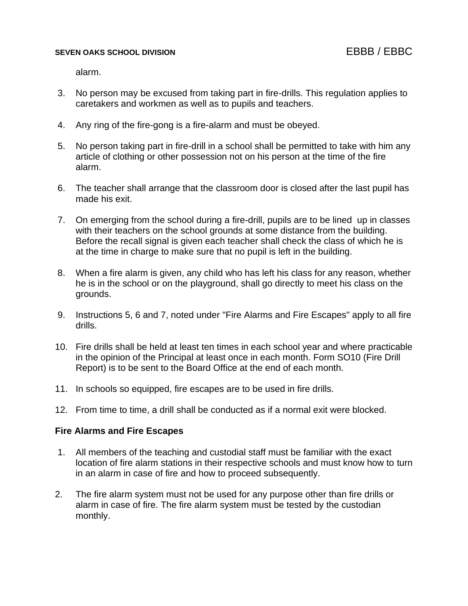### **SEVEN OAKS SCHOOL DIVISION** EBBB / EBBC

alarm.

- 3. No person may be excused from taking part in fire-drills. This regulation applies to caretakers and workmen as well as to pupils and teachers.
- 4. Any ring of the fire-gong is a fire-alarm and must be obeyed.
- 5. No person taking part in fire-drill in a school shall be permitted to take with him any article of clothing or other possession not on his person at the time of the fire alarm.
- 6. The teacher shall arrange that the classroom door is closed after the last pupil has made his exit.
- 7. On emerging from the school during a fire-drill, pupils are to be lined up in classes with their teachers on the school grounds at some distance from the building. Before the recall signal is given each teacher shall check the class of which he is at the time in charge to make sure that no pupil is left in the building.
- 8. When a fire alarm is given, any child who has left his class for any reason, whether he is in the school or on the playground, shall go directly to meet his class on the grounds.
- 9. Instructions 5, 6 and 7, noted under "Fire Alarms and Fire Escapes" apply to all fire drills.
- 10. Fire drills shall be held at least ten times in each school year and where practicable in the opinion of the Principal at least once in each month. Form SO10 (Fire Drill Report) is to be sent to the Board Office at the end of each month.
- 11. In schools so equipped, fire escapes are to be used in fire drills.
- 12. From time to time, a drill shall be conducted as if a normal exit were blocked.

### **Fire Alarms and Fire Escapes**

- 1. All members of the teaching and custodial staff must be familiar with the exact location of fire alarm stations in their respective schools and must know how to turn in an alarm in case of fire and how to proceed subsequently.
- 2. The fire alarm system must not be used for any purpose other than fire drills or alarm in case of fire. The fire alarm system must be tested by the custodian monthly.